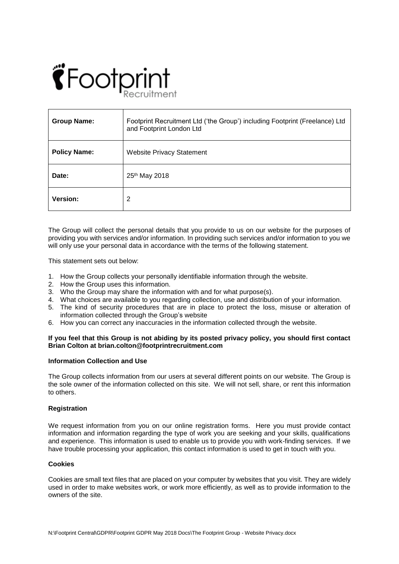

| <b>Group Name:</b>  | Footprint Recruitment Ltd ('the Group') including Footprint (Freelance) Ltd<br>and Footprint London Ltd |
|---------------------|---------------------------------------------------------------------------------------------------------|
| <b>Policy Name:</b> | <b>Website Privacy Statement</b>                                                                        |
| Date:               | 25 <sup>th</sup> May 2018                                                                               |
| Version:            | 2                                                                                                       |

The Group will collect the personal details that you provide to us on our website for the purposes of providing you with services and/or information. In providing such services and/or information to you we will only use your personal data in accordance with the terms of the following statement.

This statement sets out below:

- 1. How the Group collects your personally identifiable information through the website.
- 2. How the Group uses this information.
- 3. Who the Group may share the information with and for what purpose(s).
- 4. What choices are available to you regarding collection, use and distribution of your information.
- 5. The kind of security procedures that are in place to protect the loss, misuse or alteration of information collected through the Group's website
- 6. How you can correct any inaccuracies in the information collected through the website.

# **If you feel that this Group is not abiding by its posted privacy policy, you should first contact Brian Colton at brian.colton@footprintrecruitment.com**

#### **Information Collection and Use**

The Group collects information from our users at several different points on our website. The Group is the sole owner of the information collected on this site. We will not sell, share, or rent this information to others.

# **Registration**

We request information from you on our online registration forms. Here you must provide contact information and information regarding the type of work you are seeking and your skills, qualifications and experience. This information is used to enable us to provide you with work-finding services. If we have trouble processing your application, this contact information is used to get in touch with you.

# **Cookies**

Cookies are small text files that are placed on your computer by websites that you visit. They are widely used in order to make websites work, or work more efficiently, as well as to provide information to the owners of the site.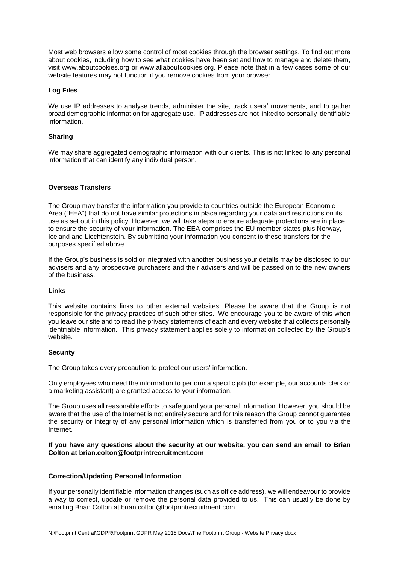Most web browsers allow some control of most cookies through the browser settings. To find out more about cookies, including how to see what cookies have been set and how to manage and delete them, visit [www.aboutcookies.org](http://www.aboutcookies.org/) or [www.allaboutcookies.org.](http://www.allaboutcookies.org/) Please note that in a few cases some of our website features may not function if you remove cookies from your browser.

# **Log Files**

We use IP addresses to analyse trends, administer the site, track users' movements, and to gather broad demographic information for aggregate use. IP addresses are not linked to personally identifiable information.

# **Sharing**

We may share aggregated demographic information with our clients. This is not linked to any personal information that can identify any individual person.

# **Overseas Transfers**

The Group may transfer the information you provide to countries outside the European Economic Area ("EEA") that do not have similar protections in place regarding your data and restrictions on its use as set out in this policy. However, we will take steps to ensure adequate protections are in place to ensure the security of your information. The EEA comprises the EU member states plus Norway, Iceland and Liechtenstein. By submitting your information you consent to these transfers for the purposes specified above.

If the Group's business is sold or integrated with another business your details may be disclosed to our advisers and any prospective purchasers and their advisers and will be passed on to the new owners of the business.

# **Links**

This website contains links to other external websites. Please be aware that the Group is not responsible for the privacy practices of such other sites. We encourage you to be aware of this when you leave our site and to read the privacy statements of each and every website that collects personally identifiable information. This privacy statement applies solely to information collected by the Group's website.

# **Security**

The Group takes every precaution to protect our users' information.

Only employees who need the information to perform a specific job (for example, our accounts clerk or a marketing assistant) are granted access to your information.

The Group uses all reasonable efforts to safeguard your personal information. However, you should be aware that the use of the Internet is not entirely secure and for this reason the Group cannot guarantee the security or integrity of any personal information which is transferred from you or to you via the Internet.

# **If you have any questions about the security at our website, you can send an email to Brian Colton at brian.colton@footprintrecruitment.com**

# **Correction/Updating Personal Information**

If your personally identifiable information changes (such as office address), we will endeavour to provide a way to correct, update or remove the personal data provided to us. This can usually be done by emailing Brian Colton at brian.colton@footprintrecruitment.com